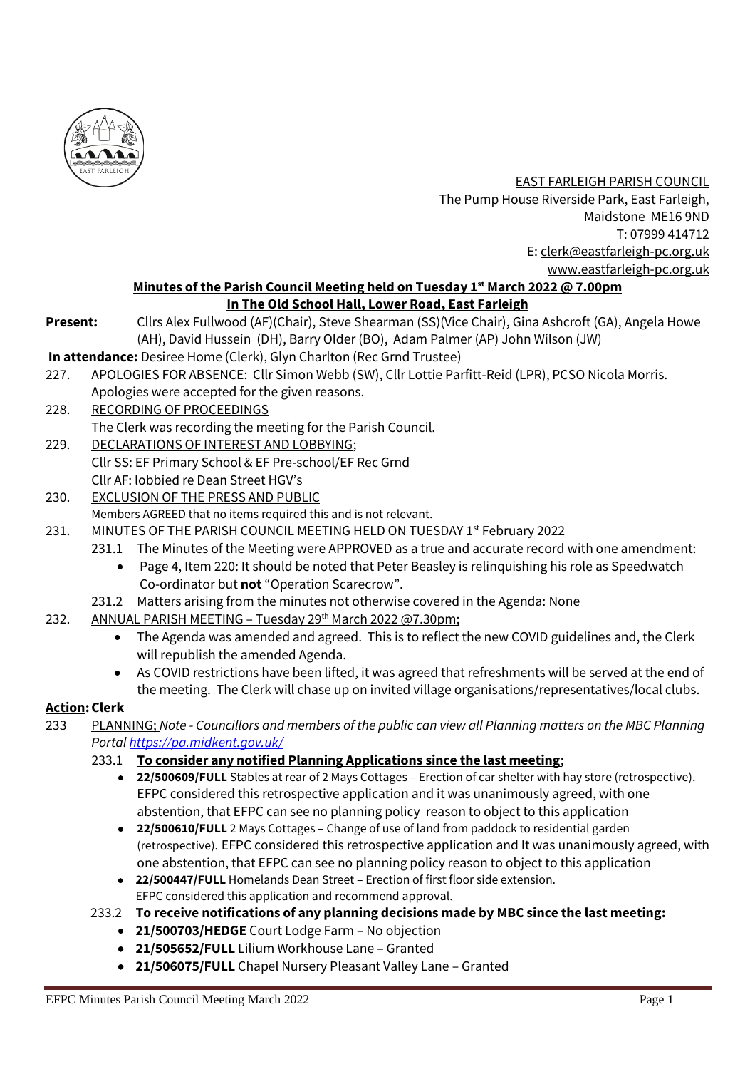

 EAST FARLEIGH PARISH COUNCIL The Pump House Riverside Park, East Farleigh, Maidstone ME16 9ND T: 07999 414712 E: [clerk@eastfarleigh-pc.org.uk](mailto:clerk@eastfarleigh-pc.org.uk) www.eastfarleigh-pc.org.uk

# **Minutes of the Parish Council Meeting held on Tuesday 1 st March 2022 @ 7.00pm**

## **In The Old School Hall, Lower Road, East Farleigh**

**Present:** Cllrs Alex Fullwood (AF)(Chair), Steve Shearman (SS)(Vice Chair), Gina Ashcroft (GA), Angela Howe (AH), David Hussein (DH), Barry Older (BO), Adam Palmer (AP) John Wilson (JW)

- **In attendance:** Desiree Home (Clerk), Glyn Charlton (Rec Grnd Trustee)
- 227. APOLOGIES FOR ABSENCE: Cllr Simon Webb (SW), Cllr Lottie Parfitt-Reid (LPR), PCSO Nicola Morris. Apologies were accepted for the given reasons.
- 228. RECORDING OF PROCEEDINGS
	- The Clerk was recording the meeting for the Parish Council.
- 229. DECLARATIONS OF INTEREST AND LOBBYING; Cllr SS: EF Primary School & EF Pre-school/EF Rec Grnd Cllr AF: lobbied re Dean Street HGV's
- 230. EXCLUSION OF THE PRESS AND PUBLIC Members AGREED that no items required this and is not relevant.
- 231. MINUTES OF THE PARISH COUNCIL MEETING HELD ON TUESDAY 1st February 2022
	- 231.1 The Minutes of the Meeting were APPROVED as a true and accurate record with one amendment:
		- Page 4, Item 220: It should be noted that Peter Beasley is relinquishing his role as Speedwatch Co-ordinator but **not** "Operation Scarecrow".
- 231.2 Matters arising from the minutes not otherwise covered in the Agenda: None
- 232. ANNUAL PARISH MEETING Tuesday 29<sup>th</sup> March 2022 @7.30pm;
	- The Agenda was amended and agreed. This is to reflect the new COVID guidelines and, the Clerk will republish the amended Agenda.
	- As COVID restrictions have been lifted, it was agreed that refreshments will be served at the end of the meeting. The Clerk will chase up on invited village organisations/representatives/local clubs.

#### **Action:Clerk**

- 233 PLANNING; *Note - Councillors and members of the public can view all Planning matters on the MBC Planning Portal<https://pa.midkent.gov.uk/>*
	- 233.1 **To consider any notified Planning Applications since the last meeting**;
		- **22/500609/FULL** Stables at rear of 2 Mays Cottages Erection of car shelter with hay store (retrospective). EFPC considered this retrospective application and it was unanimously agreed, with one abstention, that EFPC can see no planning policy reason to object to this application
		- **22/500610/FULL** 2 Mays Cottages Change of use of land from paddock to residential garden (retrospective). EFPC considered this retrospective application and It was unanimously agreed, with one abstention, that EFPC can see no planning policy reason to object to this application
		- **22/500447/FULL** Homelands Dean Street Erection of first floor side extension. EFPC considered this application and recommend approval.
	- 233.2 **To receive notifications of any planning decisions made by MBC since the last meeting:**
		- **21/500703/HEDGE** Court Lodge Farm No objection
		- **21/505652/FULL** Lilium Workhouse Lane Granted
		- **21/506075/FULL** Chapel Nursery Pleasant Valley Lane Granted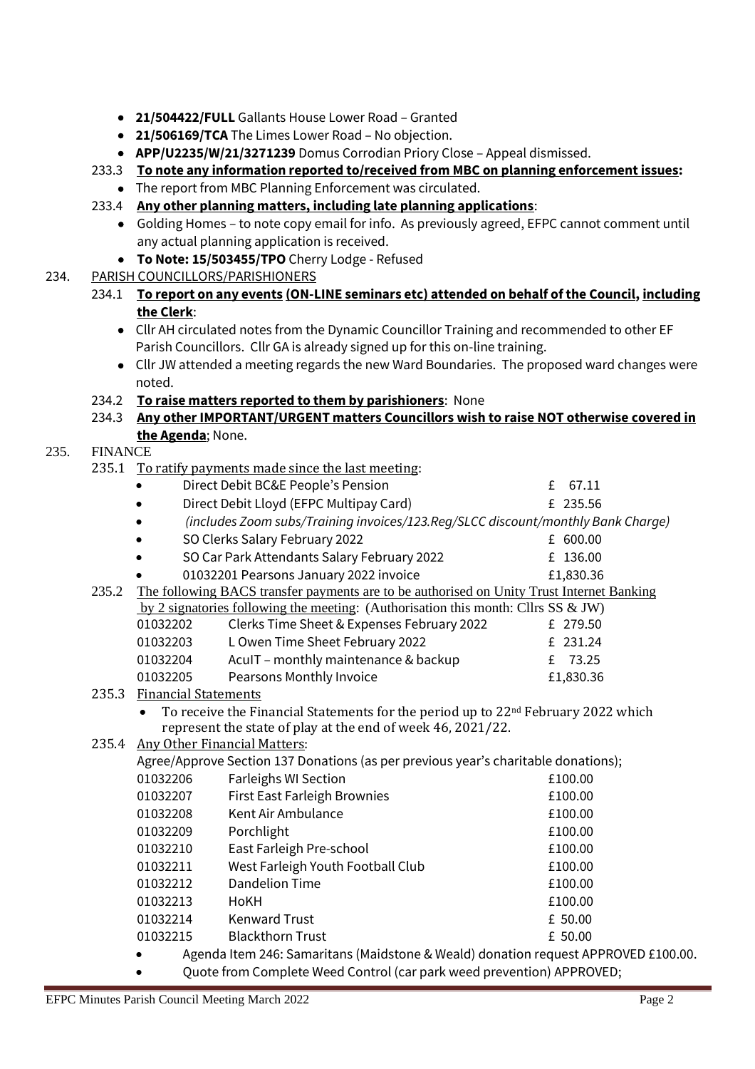- **21/504422/FULL** Gallants House Lower Road Granted
- **21/506169/TCA** The Limes Lower Road No objection.
- **APP/U2235/W/21/3271239** Domus Corrodian Priory Close Appeal dismissed.
- 233.3 **To note any information reported to/received from MBC on planning enforcement issues:**
	- The report from MBC Planning Enforcement was circulated.
- 233.4 **Any other planning matters, including late planning applications**:
	- Golding Homes to note copy email for info. As previously agreed, EFPC cannot comment until any actual planning application is received.
	- **To Note: 15/503455/TPO** Cherry Lodge Refused
- 234. PARISH COUNCILLORS/PARISHIONERS
	- 234.1 **To report on any events (ON-LINE seminars etc) attended on behalf of the Council, including the Clerk**:
		- Cllr AH circulated notes from the Dynamic Councillor Training and recommended to other EF Parish Councillors. Cllr GA is already signed up for this on-line training.
		- Cllr JW attended a meeting regards the new Ward Boundaries. The proposed ward changes were noted.
	- 234.2 **To raise matters reported to them by parishioners**: None
	- 234.3 **Any other IMPORTANT/URGENT matters Councillors wish to raise NOT otherwise covered in the Agenda**; None.

#### 235. FINANCE

| 235.1 To ratify payments made since the last meeting: |                                                                             |
|-------------------------------------------------------|-----------------------------------------------------------------------------|
|                                                       | Direct Debit BC&E People's Pension                                          |
|                                                       | $D_{\text{total}}$ $D_{\text{total}}$ $D_{\text{total}}$ $D_{\text{total}}$ |

- Direct Debit Lloyd (EFPC Multipay Card) £ 235.56
- *(includes Zoom subs/Training invoices/123.Reg/SLCC discount/monthly Bank Charge)*

 $£ 67.11$ 

- SO Clerks Salary February 2022 £ 600.00
- SO Car Park Attendants Salary February 2022 f 136.00
- 01032201 Pearsons January 2022 invoice E1,830.36

## 235.2 The following BACS transfer payments are to be authorised on Unity Trust Internet Banking

| by 2 signatories following the meeting: (Authorisation this month: Cllrs SS & JW) |                                            |           |  |  |  |  |
|-----------------------------------------------------------------------------------|--------------------------------------------|-----------|--|--|--|--|
| 01032202                                                                          | Clerks Time Sheet & Expenses February 2022 | £ 279.50  |  |  |  |  |
| 01032203                                                                          | L Owen Time Sheet February 2022            | £ 231.24  |  |  |  |  |
| 01032204                                                                          | AculT - monthly maintenance & backup       | £ $73.25$ |  |  |  |  |
| 01032205                                                                          | Pearsons Monthly Invoice                   | £1,830.36 |  |  |  |  |

- 235.3 Financial Statements
	- To receive the Financial Statements for the period up to 22nd February 2022 which represent the state of play at the end of week 46, 2021/22.
- 235.4 Any Other Financial Matters:

|                                                                         | Agree/Approve Section 137 Donations (as per previous year's charitable donations); |         |  |  |
|-------------------------------------------------------------------------|------------------------------------------------------------------------------------|---------|--|--|
| 01032206                                                                | <b>Farleighs WI Section</b>                                                        | £100.00 |  |  |
| 01032207                                                                | <b>First East Farleigh Brownies</b>                                                | £100.00 |  |  |
| 01032208                                                                | Kent Air Ambulance                                                                 | £100.00 |  |  |
| 01032209                                                                | Porchlight                                                                         | £100.00 |  |  |
| 01032210                                                                | East Farleigh Pre-school                                                           | £100.00 |  |  |
| 01032211                                                                | West Farleigh Youth Football Club                                                  | £100.00 |  |  |
| 01032212                                                                | <b>Dandelion Time</b>                                                              | £100.00 |  |  |
| 01032213                                                                | HoKH                                                                               | £100.00 |  |  |
| 01032214                                                                | <b>Kenward Trust</b>                                                               | £ 50.00 |  |  |
| 01032215                                                                | <b>Blackthorn Trust</b>                                                            | £ 50.00 |  |  |
| Agonda Ham 246; Camaritans (Maidstone & Weald) denotion request ADDDOVE |                                                                                    |         |  |  |

- Agenda Item 246: Samaritans (Maidstone & Weald) donation request APPROVED £100.00.
	- Quote from Complete Weed Control (car park weed prevention) APPROVED;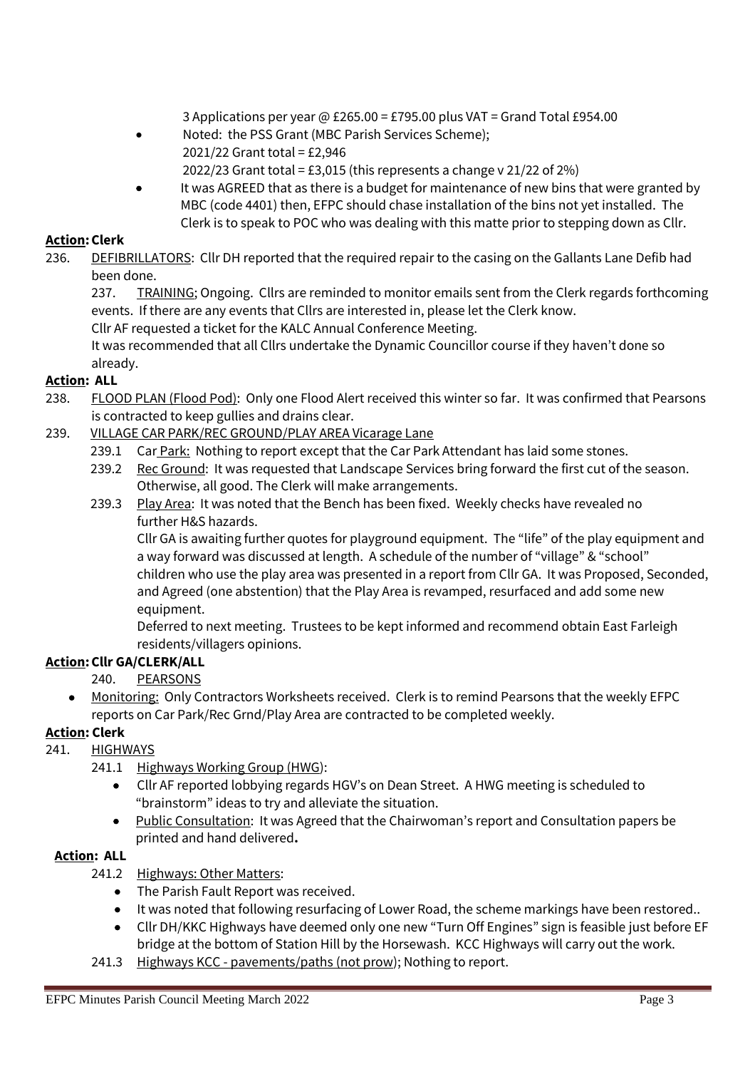3 Applications per year @ £265.00 = £795.00 plus VAT = Grand Total £954.00

- Noted: the PSS Grant (MBC Parish Services Scheme); 2021/22 Grant total = £2,946 2022/23 Grant total = £3,015 (this represents a change v 21/22 of 2%)
- It was AGREED that as there is a budget for maintenance of new bins that were granted by MBC (code 4401) then, EFPC should chase installation of the bins not yet installed. The Clerk is to speak to POC who was dealing with this matte prior to stepping down as Cllr.

## **Action:Clerk**

- 236. DEFIBRILLATORS: Cllr DH reported that the required repair to the casing on the Gallants Lane Defib had been done.
	- 237. TRAINING; Ongoing. Cllrs are reminded to monitor emails sent from the Clerk regards forthcoming events. If there are any events that Cllrs are interested in, please let the Clerk know.

Cllr AF requested a ticket for the KALC Annual Conference Meeting.

It was recommended that all Cllrs undertake the Dynamic Councillor course if they haven't done so already.

### **Action: ALL**

- 238. **FLOOD PLAN (Flood Pod):** Only one Flood Alert received this winter so far. It was confirmed that Pearsons is contracted to keep gullies and drains clear.
- 239. VILLAGE CAR PARK/REC GROUND/PLAY AREA Vicarage Lane
	- 239.1 Car Park: Nothing to report except that the Car Park Attendant has laid some stones.
	- 239.2 Rec Ground: It was requested that Landscape Services bring forward the first cut of the season. Otherwise, all good. The Clerk will make arrangements.
	- 239.3 Play Area: It was noted that the Bench has been fixed. Weekly checks have revealed no further H&S hazards.

Cllr GA is awaiting further quotes for playground equipment. The "life" of the play equipment and a way forward was discussed at length. A schedule of the number of "village" & "school" children who use the play area was presented in a report from Cllr GA. It was Proposed, Seconded, and Agreed (one abstention) that the Play Area is revamped, resurfaced and add some new equipment.

Deferred to next meeting. Trustees to be kept informed and recommend obtain East Farleigh residents/villagers opinions.

#### **Action:Cllr GA/CLERK/ALL**

- 240. PEARSONS
- Monitoring: Only Contractors Worksheets received. Clerk is to remind Pearsons that the weekly EFPC reports on Car Park/Rec Grnd/Play Area are contracted to be completed weekly.

## **Action: Clerk**

- 241. HIGHWAYS
	- 241.1 Highways Working Group (HWG):
		- Cllr AF reported lobbying regards HGV's on Dean Street. A HWG meeting is scheduled to "brainstorm" ideas to try and alleviate the situation.
		- Public Consultation: It was Agreed that the Chairwoman's report and Consultation papers be printed and hand delivered**.**

#### **Action: ALL**

- 241.2 Highways: Other Matters:
	- The Parish Fault Report was received.
	- It was noted that following resurfacing of Lower Road, the scheme markings have been restored..
	- Cllr DH/KKC Highways have deemed only one new "Turn Off Engines" sign is feasible just before EF bridge at the bottom of Station Hill by the Horsewash. KCC Highways will carry out the work.
- 241.3 Highways KCC pavements/paths (not prow); Nothing to report.